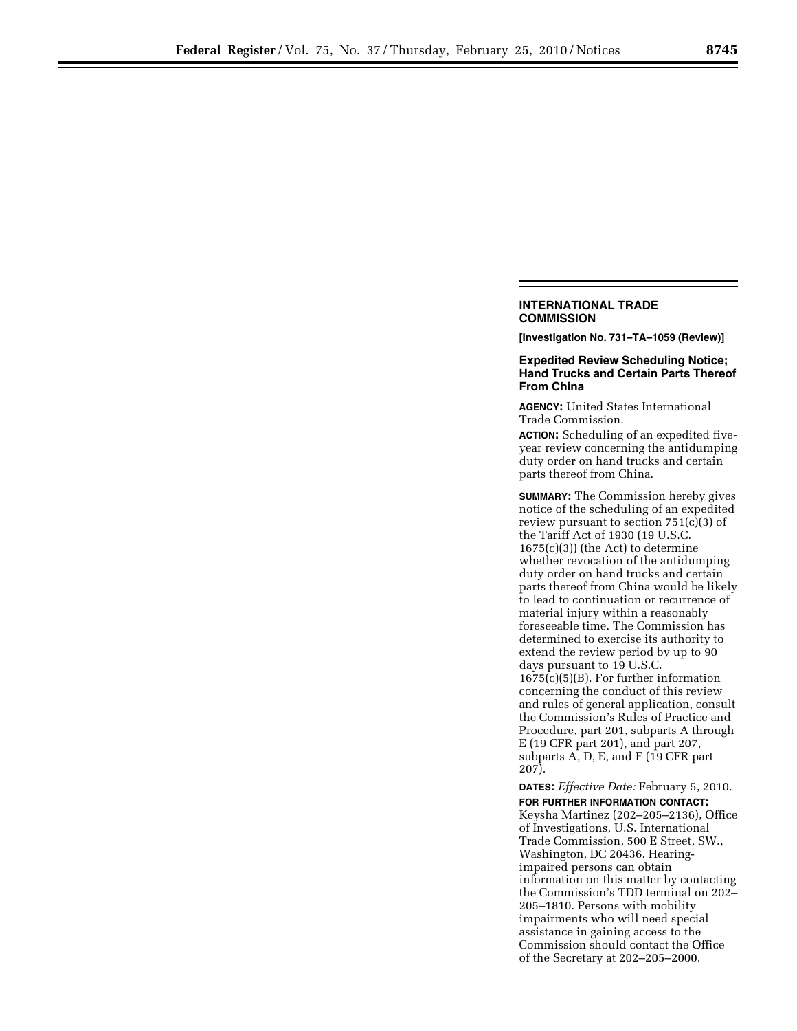## **INTERNATIONAL TRADE COMMISSION**

**[Investigation No. 731–TA–1059 (Review)]** 

## **Expedited Review Scheduling Notice; Hand Trucks and Certain Parts Thereof From China**

**AGENCY:** United States International Trade Commission.

**ACTION:** Scheduling of an expedited fiveyear review concerning the antidumping duty order on hand trucks and certain parts thereof from China.

**SUMMARY:** The Commission hereby gives notice of the scheduling of an expedited review pursuant to section 751(c)(3) of the Tariff Act of 1930 (19 U.S.C.  $1675(c)(3)$  (the Act) to determine whether revocation of the antidumping duty order on hand trucks and certain parts thereof from China would be likely to lead to continuation or recurrence of material injury within a reasonably foreseeable time. The Commission has determined to exercise its authority to extend the review period by up to 90 days pursuant to 19 U.S.C. 1675(c)(5)(B). For further information concerning the conduct of this review and rules of general application, consult the Commission's Rules of Practice and Procedure, part 201, subparts A through E (19 CFR part 201), and part 207, subparts A, D, E, and F (19 CFR part 207).

**DATES:** *Effective Date:* February 5, 2010. **FOR FURTHER INFORMATION CONTACT:** 

Keysha Martinez (202–205–2136), Office of Investigations, U.S. International Trade Commission, 500 E Street, SW., Washington, DC 20436. Hearingimpaired persons can obtain information on this matter by contacting the Commission's TDD terminal on 202– 205–1810. Persons with mobility impairments who will need special assistance in gaining access to the Commission should contact the Office of the Secretary at 202–205–2000.